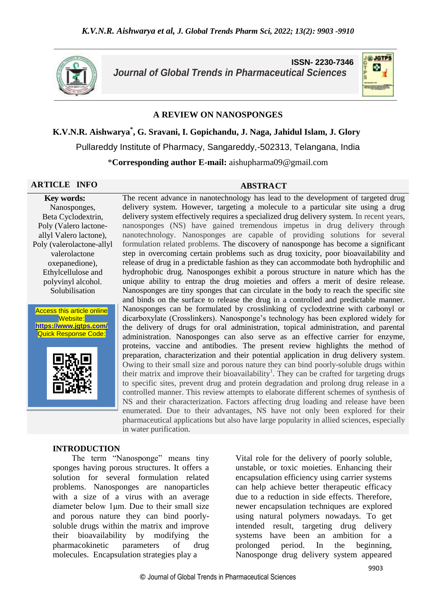

**ISSN- 2230-7346** *Journal of Global Trends in Pharmaceutical Sciences*



#### **A REVIEW ON NANOSPONGES**

# **K.V.N.R. Aishwarya\* , G. Sravani, I. Gopichandu, J. Naga, Jahidul Islam, J. Glory**

Pullareddy Institute of Pharmacy, Sangareddy,-502313, Telangana, India

\***Corresponding author E-mail:** aishupharma09@gmail.com

#### **ARTICLE INFO ABSTRACT**

**Key words:** Nanosponges, Beta Cyclodextrin, Poly (Valero lactoneallyl Valero lactone), Poly (valerolactone-allyl valerolactone oxepanedione), Ethylcellulose and polyvinyl alcohol. Solubilisation



The recent advance in nanotechnology has lead to the development of targeted drug delivery system. However, targeting a molecule to a particular site using a drug delivery system effectively requires a specialized drug delivery system. In recent years, nanosponges (NS) have gained tremendous impetus in drug delivery through nanotechnology. Nanosponges are capable of providing solutions for several formulation related problems. The discovery of nanosponge has become a significant step in overcoming certain problems such as drug toxicity, poor bioavailability and release of drug in a predictable fashion as they can accommodate both hydrophilic and hydrophobic drug. Nanosponges exhibit a porous structure in nature which has the unique ability to entrap the drug moieties and offers a merit of desire release. Nanosponges are tiny sponges that can circulate in the body to reach the specific site and binds on the surface to release the drug in a controlled and predictable manner. Nanosponges can be formulated by crosslinking of cyclodextrine with carbonyl or dicarboxylate (Crosslinkers). Nanosponge's technology has been explored widely for the delivery of drugs for oral administration, topical administration, and parental administration. Nanosponges can also serve as an effective carrier for enzyme, proteins, vaccine and antibodies. The present review highlights the method of preparation, characterization and their potential application in drug delivery system. Owing to their small size and porous nature they can bind poorly-soluble drugs within their matrix and improve their bioavailability<sup>1</sup>. They can be crafted for targeting drugs to specific sites, prevent drug and protein degradation and prolong drug release in a controlled manner. This review attempts to elaborate different schemes of synthesis of NS and their characterization. Factors affecting drug loading and release have been enumerated. Due to their advantages, NS have not only been explored for their pharmaceutical applications but also have large popularity in allied sciences, especially in water purification.

#### **INTRODUCTION**

 The term "Nanosponge" means tiny sponges having porous structures. It offers a solution for several formulation related problems. Nanosponges are nanoparticles with a size of a virus with an average diameter below 1μm. Due to their small size and porous nature they can bind poorlysoluble drugs within the matrix and improve their bioavailability by modifying the pharmacokinetic parameters of drug molecules. Encapsulation strategies play a

Vital role for the delivery of poorly soluble, unstable, or toxic moieties. Enhancing their encapsulation efficiency using carrier systems can help achieve better therapeutic efficacy due to a reduction in side effects. Therefore, newer encapsulation techniques are explored using natural polymers nowadays. To get intended result, targeting drug delivery systems have been an ambition for a prolonged period. In the beginning, Nanosponge drug delivery system appeared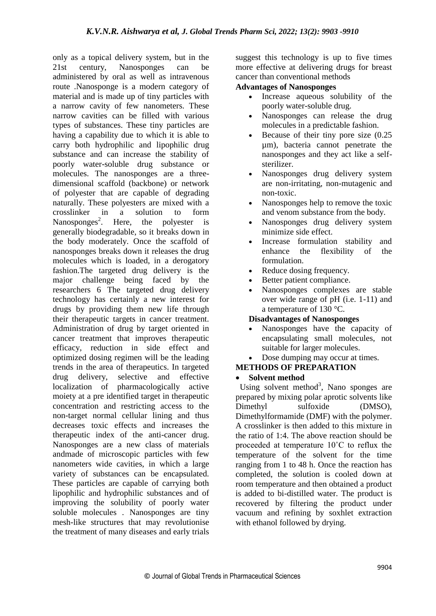only as a topical delivery system, but in the 21st century, Nanosponges can be administered by oral as well as intravenous route .Nanosponge is a modern category of material and is made up of tiny particles with a narrow cavity of few nanometers. These narrow cavities can be filled with various types of substances. These tiny particles are having a capability due to which it is able to carry both hydrophilic and lipophilic drug substance and can increase the stability of poorly water-soluble drug substance or molecules. The nanosponges are a threedimensional scaffold (backbone) or network of polyester that are capable of degrading naturally. These polyesters are mixed with a crosslinker in a solution to form Nanosponges<sup>2</sup>. Here, the polyester is generally biodegradable, so it breaks down in the body moderately. Once the scaffold of nanosponges breaks down it releases the drug molecules which is loaded, in a derogatory fashion.The targeted drug delivery is the major challenge being faced by the researchers 6 The targeted drug delivery technology has certainly a new interest for drugs by providing them new life through their therapeutic targets in cancer treatment. Administration of drug by target oriented in cancer treatment that improves therapeutic efficacy, reduction in side effect and optimized dosing regimen will be the leading trends in the area of therapeutics. In targeted drug delivery, selective and effective localization of pharmacologically active moiety at a pre identified target in therapeutic concentration and restricting access to the non-target normal cellular lining and thus decreases toxic effects and increases the therapeutic index of the anti-cancer drug. Nanosponges are a new class of materials andmade of microscopic particles with few nanometers wide cavities, in which a large variety of substances can be encapsulated. These particles are capable of carrying both lipophilic and hydrophilic substances and of improving the solubility of poorly water soluble molecules . Nanosponges are tiny mesh-like structures that may revolutionise the treatment of many diseases and early trials suggest this technology is up to five times more effective at delivering drugs for breast cancer than conventional methods

#### **Advantages of Nanosponges**

- Increase aqueous solubility of the poorly water-soluble drug.
- Nanosponges can release the drug molecules in a predictable fashion.
- Because of their tiny pore size (0.25 µm), bacteria cannot penetrate the nanosponges and they act like a selfsterilizer.
- Nanosponges drug delivery system are non-irritating, non-mutagenic and non-toxic.
- Nanosponges help to remove the toxic and venom substance from the body.
- Nanosponges drug delivery system minimize side effect.
- Increase formulation stability and enhance the flexibility of the formulation.
- Reduce dosing frequency.
- Better patient compliance.
- Nanosponges complexes are stable over wide range of pH (i.e. 1-11) and a temperature of 130 °C.

#### **Disadvantages of Nanosponges**

• Nanosponges have the capacity of encapsulating small molecules, not suitable for larger molecules.

#### Dose dumping may occur at times.

# **METHODS OF PREPARATION**

#### **Solvent method**

Using solvent method<sup>3</sup>, Nano sponges are prepared by mixing polar aprotic solvents like Dimethyl sulfoxide (DMSO), Dimethylformamide (DMF) with the polymer. A crosslinker is then added to this mixture in the ratio of 1:4. The above reaction should be proceeded at temperature 10˚C to reflux the temperature of the solvent for the time ranging from 1 to 48 h. Once the reaction has completed, the solution is cooled down at room temperature and then obtained a product is added to bi-distilled water. The product is recovered by filtering the product under vacuum and refining by soxhlet extraction with ethanol followed by drying.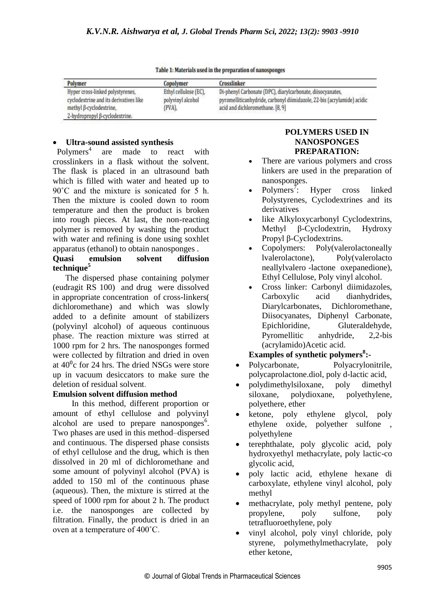| Copolymer                                            | Crosslinker                                                                                                                                                                                                                   |
|------------------------------------------------------|-------------------------------------------------------------------------------------------------------------------------------------------------------------------------------------------------------------------------------|
| Ethyl cellulose (EC).<br>polyvinyl alcohol<br>(PVA), | Di-phenyl Carbonate (DPC), diarylcarbonate, diisocyanates,<br>pyromelliticanhydride, carbonyl diimidazole, 22-bis (acrylamide) acidic<br>acid and dichloromethane. [8, 9]<br>1980년 11월 12일 만간 원 경제방 7 : 동생이 2010년 100 : 삼 년 1 |
|                                                      |                                                                                                                                                                                                                               |

#### Table 1: Materials used in the preparation of nanosponges

#### **Ultra-sound assisted synthesis**

Polymers<sup>4</sup> are made to react with crosslinkers in a flask without the solvent. The flask is placed in an ultrasound bath which is filled with water and heated up to 90˚C and the mixture is sonicated for 5 h. Then the mixture is cooled down to room temperature and then the product is broken into rough pieces. At last, the non-reacting polymer is removed by washing the product with water and refining is done using soxhlet apparatus (ethanol) to obtain nanosponges .

#### **Quasi emulsion solvent diffusion technique<sup>5</sup>**

 The dispersed phase containing polymer (eudragit RS 100) and drug were dissolved in appropriate concentration of cross-linkers( dichloromethane) and which was slowly added to a definite amount of stabilizers (polyvinyl alcohol) of aqueous continuous phase. The reaction mixture was stirred at 1000 rpm for 2 hrs. The nanosponges formed were collected by filtration and dried in oven at  $40^{\circ}$ c for 24 hrs. The dried NSGs were store up in vacuum desiccators to make sure the deletion of residual solvent.

#### **Emulsion solvent diffusion method**

 In this method, different proportion or amount of ethyl cellulose and polyvinyl alcohol are used to prepare nanosponges<sup> $6$ </sup>. Two phases are used in this method–dispersed and continuous. The dispersed phase consists of ethyl cellulose and the drug, which is then dissolved in 20 ml of dichloromethane and some amount of polyvinyl alcohol (PVA) is added to 150 ml of the continuous phase (aqueous). Then, the mixture is stirred at the speed of 1000 rpm for about 2 h. The product i.e. the nanosponges are collected by filtration. Finally, the product is dried in an oven at a temperature of 400˚C.

#### **POLYMERS USED IN NANOSPONGES PREPARATION:**

- There are various polymers and cross linkers are used in the preparation of nanosponges.
- Polymers<sup>7</sup>: : Hyper cross linked Polystyrenes, Cyclodextrines and its derivatives
- like Alkyloxycarbonyl Cyclodextrins, Methyl β-Cyclodextrin, Hydroxy Propyl β-Cyclodextrins.
- Copolymers: Poly(valerolactoneally lvalerolactone), Poly(valerolacto neallylvalero -lactone oxepanedione), Ethyl Cellulose, Poly vinyl alcohol.
- Cross linker: Carbonyl diimidazoles, Carboxylic acid dianhydrides, Diarylcarbonates, Dichloromethane, Diisocyanates, Diphenyl Carbonate, Epichloridine, Gluteraldehyde, Pyromellitic anhydride, 2,2-bis (acrylamido)Acetic acid.

# **Examples of synthetic polymers<sup>8</sup> :-**

- Polycarbonate, Polyacrylonitrile, polycaprolactone.diol, poly d-lactic acid,
- polydimethylsiloxane, poly dimethyl siloxane, polydioxane, polyethylene, polyethere, ether
- ketone, poly ethylene glycol, poly ethylene oxide, polyether sulfone , polyethylene
- terephthalate, poly glycolic acid, poly hydroxyethyl methacrylate, poly lactic-co glycolic acid,
- poly lactic acid, ethylene hexane di carboxylate, ethylene vinyl alcohol, poly methyl
- methacrylate, poly methyl pentene, poly propylene, poly sulfone, poly tetrafluoroethylene, poly
- vinyl alcohol, poly vinyl chloride, poly styrene, polymethylmethacrylate, poly ether ketone,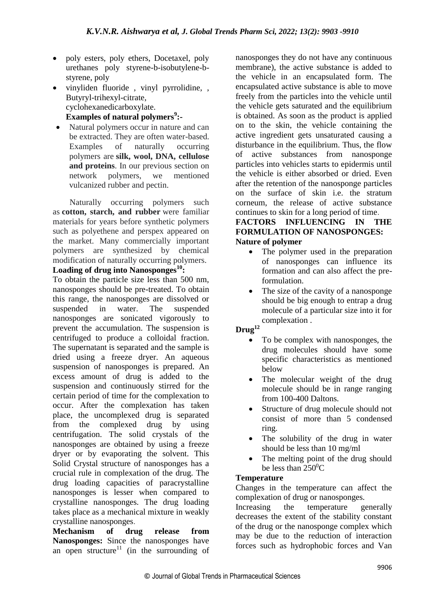- poly esters, poly ethers, Docetaxel, poly urethanes poly styrene-b-isobutylene-bstyrene, poly
- vinyliden fluoride , vinyl pyrrolidine, , Butyryl-trihexyl-citrate, cyclohexanedicarboxylate. **Examples of natural polymers<sup>9</sup> :-**
- Natural polymers occur in nature and can be extracted. They are often water-based. Examples of naturally occurring polymers are **silk, wool, DNA, cellulose and proteins**. In our previous section on network polymers, we mentioned vulcanized rubber and pectin.

 Naturally occurring polymers such as **cotton, starch, and rubber** were familiar materials for years before synthetic polymers such as polyethene and perspex appeared on the market. Many commercially important polymers are synthesized by chemical modification of naturally occurring polymers. **Loading of drug into Nanosponges<sup>10</sup>:** 

To obtain the particle size less than 500 nm, nanosponges should be pre-treated. To obtain this range, the nanosponges are dissolved or suspended in water. The suspended nanosponges are sonicated vigorously to prevent the accumulation. The suspension is centrifuged to produce a colloidal fraction. The supernatant is separated and the sample is dried using a freeze dryer. An aqueous suspension of nanosponges is prepared. An excess amount of drug is added to the suspension and continuously stirred for the certain period of time for the complexation to occur. After the complexation has taken place, the uncomplexed drug is separated from the complexed drug by using centrifugation. The solid crystals of the nanosponges are obtained by using a freeze dryer or by evaporating the solvent. This Solid Crystal structure of nanosponges has a crucial rule in complexation of the drug. The drug loading capacities of paracrystalline nanosponges is lesser when compared to crystalline nanosponges. The drug loading takes place as a mechanical mixture in weakly crystalline nanosponges.

**Mechanism of drug release from Nanosponges:** Since the nanosponges have an open structure<sup>11</sup> (in the surrounding of nanosponges they do not have any continuous membrane), the active substance is added to the vehicle in an encapsulated form. The encapsulated active substance is able to move freely from the particles into the vehicle until the vehicle gets saturated and the equilibrium is obtained. As soon as the product is applied on to the skin, the vehicle containing the active ingredient gets unsaturated causing a disturbance in the equilibrium. Thus, the flow of active substances from nanosponge particles into vehicles starts to epidermis until the vehicle is either absorbed or dried. Even after the retention of the nanosponge particles on the surface of skin i.e. the stratum corneum, the release of active substance continues to skin for a long period of time.

# **FACTORS INFLUENCING IN THE FORMULATION OF NANOSPONGES: Nature of polymer**

- The polymer used in the preparation of nanosponges can influence its formation and can also affect the preformulation.
- The size of the cavity of a nanosponge should be big enough to entrap a drug molecule of a particular size into it for complexation .

# **Drug<sup>12</sup>**

- To be complex with nanosponges, the drug molecules should have some specific characteristics as mentioned below
- The molecular weight of the drug molecule should be in range ranging from 100-400 Daltons.
- Structure of drug molecule should not consist of more than 5 condensed ring.
- The solubility of the drug in water should be less than 10 mg/ml
- The melting point of the drug should be less than  $250^0C$

#### **Temperature**

Changes in the temperature can affect the complexation of drug or nanosponges. Increasing the temperature generally decreases the extent of the stability constant

of the drug or the nanosponge complex which may be due to the reduction of interaction forces such as hydrophobic forces and Van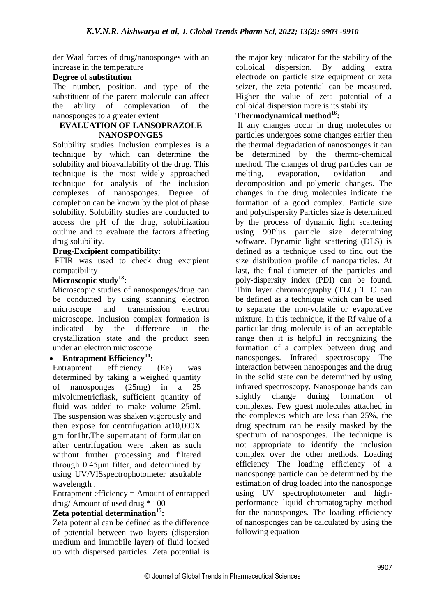der Waal forces of drug/nanosponges with an increase in the temperature

#### **Degree of substitution**

The number, position, and type of the substituent of the parent molecule can affect the ability of complexation of the nanosponges to a greater extent

# **EVALUATION OF LANSOPRAZOLE NANOSPONGES**

Solubility studies Inclusion complexes is a technique by which can determine the solubility and bioavailability of the drug. This technique is the most widely approached technique for analysis of the inclusion complexes of nanosponges. Degree of completion can be known by the plot of phase solubility. Solubility studies are conducted to access the pH of the drug, solubilization outline and to evaluate the factors affecting drug solubility.

# **Drug-Excipient compatibility:**

FTIR was used to check drug excipient compatibility

#### **Microscopic study<sup>13</sup>:**

Microscopic studies of nanosponges/drug can be conducted by using scanning electron microscope and transmission electron microscope. Inclusion complex formation is indicated by the difference in the crystallization state and the product seen under an electron microscope

#### **Entrapment Efficiency<sup>14</sup>:**

Entrapment efficiency (Ee) was determined by taking a weighed quantity of nanosponges (25mg) in a 25 mlvolumetricflask, sufficient quantity of fluid was added to make volume 25ml. The suspension was shaken vigorously and then expose for centrifugation at10,000X gm for1hr.The supernatant of formulation after centrifugation were taken as such without further processing and filtered through 0.45μm filter, and determined by using UV/VISspectrophotometer atsuitable wavelength .

Entrapment efficiency  $=$  Amount of entrapped drug/ Amount of used drug \* 100

#### **Zeta potential determination<sup>15</sup>:**

Zeta potential can be defined as the difference of potential between two layers (dispersion medium and immobile layer) of fluid locked up with dispersed particles. Zeta potential is the major key indicator for the stability of the colloidal dispersion. By adding extra electrode on particle size equipment or zeta seizer, the zeta potential can be measured. Higher the value of zeta potential of a colloidal dispersion more is its stability

# **Thermodynamical method<sup>16</sup>:**

If any changes occur in drug molecules or particles undergoes some changes earlier then the thermal degradation of nanosponges it can be determined by the thermo-chemical method. The changes of drug particles can be melting, evaporation, oxidation and decomposition and polymeric changes. The changes in the drug molecules indicate the formation of a good complex. Particle size and polydispersity Particles size is determined by the process of dynamic light scattering using 90Plus particle size determining software. Dynamic light scattering (DLS) is defined as a technique used to find out the size distribution profile of nanoparticles. At last, the final diameter of the particles and poly-dispersity index (PDI) can be found. Thin layer chromatography (TLC) TLC can be defined as a technique which can be used to separate the non-volatile or evaporative mixture. In this technique, if the Rf value of a particular drug molecule is of an acceptable range then it is helpful in recognizing the formation of a complex between drug and nanosponges. Infrared spectroscopy The interaction between nanosponges and the drug in the solid state can be determined by using infrared spectroscopy. Nanosponge bands can slightly change during formation of complexes. Few guest molecules attached in the complexes which are less than 25%, the drug spectrum can be easily masked by the spectrum of nanosponges. The technique is not appropriate to identify the inclusion complex over the other methods. Loading efficiency The loading efficiency of a nanosponge particle can be determined by the estimation of drug loaded into the nanosponge using UV spectrophotometer and highperformance liquid chromatography method for the nanosponges. The loading efficiency of nanosponges can be calculated by using the following equation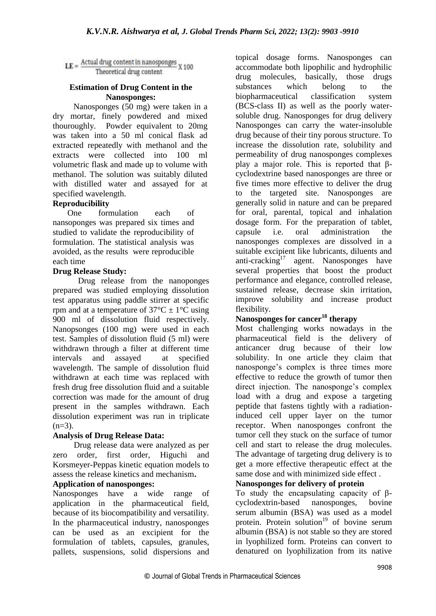LE =  $\frac{\text{Actual drug content in nanosophes}}{X\,100}$ Theoretical drug content

# **Estimation of Drug Content in the Nanosponges:**

 Nanosponges (50 mg) were taken in a dry mortar, finely powdered and mixed thouroughly. Powder equivalent to 20mg was taken into a 50 ml conical flask ad extracted repeatedly with methanol and the extracts were collected into 100 ml volumetric flask and made up to volume with methanol. The solution was suitably diluted with distilled water and assayed for at specified wavelength.

# **Reproducibility**

 One formulation each of nansoponges was prepared six times and studied to validate the reproducibility of formulation. The statistical analysis was avoided, as the results were reproducible each time

# **Drug Release Study:**

 Drug release from the nanoponges prepared was studied employing dissolution test apparatus using paddle stirrer at specific rpm and at a temperature of  $37^{\circ}C \pm 1^{\circ}C$  using 900 ml of dissolution fluid respectively. Nanopsonges (100 mg) were used in each test. Samples of dissolution fluid (5 ml) were withdrawn through a filter at different time intervals and assayed at specified wavelength. The sample of dissolution fluid withdrawn at each time was replaced with fresh drug free dissolution fluid and a suitable correction was made for the amount of drug present in the samples withdrawn. Each dissolution experiment was run in triplicate  $(n=3)$ .

#### **Analysis of Drug Release Data:**

 Drug release data were analyzed as per zero order, first order, Higuchi and Korsmeyer-Peppas kinetic equation models to assess the release kinetics and mechanism**.**

#### **Application of nanosponges:**

Nanosponges have a wide range of application in the pharmaceutical field, because of its biocompatibility and versatility. In the pharmaceutical industry, nanosponges can be used as an excipient for the formulation of tablets, capsules, granules, pallets, suspensions, solid dispersions and topical dosage forms. Nanosponges can accommodate both lipophilic and hydrophilic drug molecules, basically, those drugs substances which belong to the biopharmaceutical classification system (BCS-class II) as well as the poorly watersoluble drug. Nanosponges for drug delivery Nanosponges can carry the water-insoluble drug because of their tiny porous structure. To increase the dissolution rate, solubility and permeability of drug nanosponges complexes play a major role. This is reported that βcyclodextrine based nanosponges are three or five times more effective to deliver the drug to the targeted site. Nanosponges are generally solid in nature and can be prepared for oral, parental, topical and inhalation dosage form. For the preparation of tablet, capsule i.e. oral administration the nanosponges complexes are dissolved in a suitable excipient like lubricants, diluents and anti-cracking<sup>17</sup> agent. Nanosponges have several properties that boost the product performance and elegance, controlled release, sustained release, decrease skin irritation, improve solubility and increase product flexibility.

# **Nanosponges for cancer<sup>18</sup> therapy**

Most challenging works nowadays in the pharmaceutical field is the delivery of anticancer drug because of their low solubility. In one article they claim that nanosponge's complex is three times more effective to reduce the growth of tumor then direct injection. The nanosponge's complex load with a drug and expose a targeting peptide that fastens tightly with a radiationinduced cell upper layer on the tumor receptor. When nanosponges confront the tumor cell they stuck on the surface of tumor cell and start to release the drug molecules. The advantage of targeting drug delivery is to get a more effective therapeutic effect at the same dose and with minimized side effect .

#### **Nanosponges for delivery of protein**

To study the encapsulating capacity of βcyclodextrin-based nanosponges, bovine serum albumin (BSA) was used as a model protein. Protein solution<sup>19</sup> of bovine serum albumin (BSA) is not stable so they are stored in lyophilized form. Proteins can convert to denatured on lyophilization from its native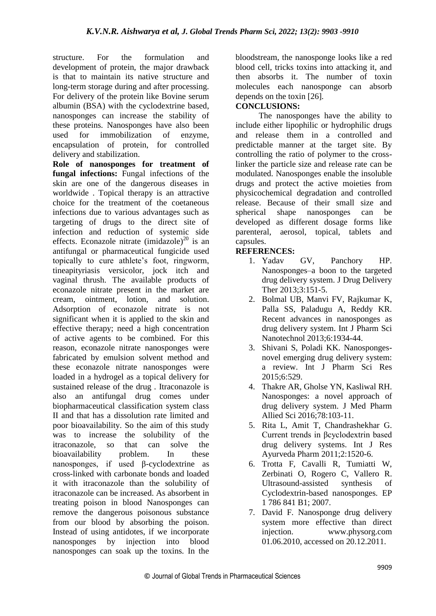structure. For the formulation and development of protein, the major drawback is that to maintain its native structure and long-term storage during and after processing. For delivery of the protein like Bovine serum albumin (BSA) with the cyclodextrine based, nanosponges can increase the stability of these proteins. Nanosponges have also been used for immobilization of enzyme, encapsulation of protein, for controlled delivery and stabilization.

**Role of nanosponges for treatment of fungal infections:** Fungal infections of the skin are one of the dangerous diseases in worldwide . Topical therapy is an attractive choice for the treatment of the coetaneous infections due to various advantages such as targeting of drugs to the direct site of infection and reduction of systemic side effects. Econazole nitrate  $(imidazole)^{20}$  is an antifungal or pharmaceutical fungicide used topically to cure athlete's foot, ringworm, tineapityriasis versicolor, jock itch and vaginal thrush. The available products of econazole nitrate present in the market are cream, ointment, lotion, and solution. Adsorption of econazole nitrate is not significant when it is applied to the skin and effective therapy; need a high concentration of active agents to be combined. For this reason, econazole nitrate nanosponges were fabricated by emulsion solvent method and these econazole nitrate nanosponges were loaded in a hydrogel as a topical delivery for sustained release of the drug . Itraconazole is also an antifungal drug comes under biopharmaceutical classification system class II and that has a dissolution rate limited and poor bioavailability. So the aim of this study was to increase the solubility of the itraconazole, so that can solve the bioavailability problem. In these nanosponges, if used β-cyclodextrine as cross-linked with carbonate bonds and loaded it with itraconazole than the solubility of itraconazole can be increased. As absorbent in treating poison in blood Nanosponges can remove the dangerous poisonous substance from our blood by absorbing the poison. Instead of using antidotes, if we incorporate nanosponges by injection into blood nanosponges can soak up the toxins. In the bloodstream, the nanosponge looks like a red blood cell, tricks toxins into attacking it, and then absorbs it. The number of toxin molecules each nanosponge can absorb depends on the toxin [26].

#### **CONCLUSIONS:**

 The nanosponges have the ability to include either lipophilic or hydrophilic drugs and release them in a controlled and predictable manner at the target site. By controlling the ratio of polymer to the crosslinker the particle size and release rate can be modulated. Nanosponges enable the insoluble drugs and protect the active moieties from physicochemical degradation and controlled release. Because of their small size and spherical shape nanosponges can be developed as different dosage forms like parenteral, aerosol, topical, tablets and capsules.

# **REFERENCES:**

- 1. Yadav GV, Panchory HP. Nanosponges–a boon to the targeted drug delivery system. J Drug Delivery Ther 2013;3:151-5.
- 2. Bolmal UB, Manvi FV, Rajkumar K, Palla SS, Paladugu A, Reddy KR. Recent advances in nanosponges as drug delivery system. Int J Pharm Sci Nanotechnol 2013;6:1934-44.
- 3. Shivani S, Poladi KK. Nanospongesnovel emerging drug delivery system: a review. Int J Pharm Sci Res 2015;6:529.
- 4. Thakre AR, Gholse YN, Kasliwal RH. Nanosponges: a novel approach of drug delivery system. J Med Pharm Allied Sci 2016;78:103-11.
- 5. Rita L, Amit T, Chandrashekhar G. Current trends in βcyclodextrin based drug delivery systems. Int J Res Ayurveda Pharm 2011;2:1520-6.
- 6. Trotta F, Cavalli R, Tumiatti W, Zerbinati O, Rogero C, Vallero R. Ultrasound-assisted synthesis of Cyclodextrin-based nanosponges. EP 1 786 841 B1; 2007.
- 7. David F. Nanosponge drug delivery system more effective than direct injection. www.physorg.com 01.06.2010, accessed on 20.12.2011.